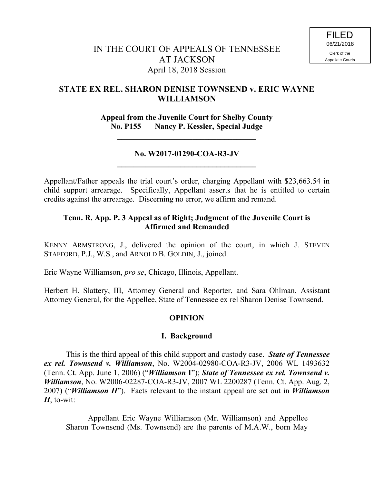# **STATE EX REL. SHARON DENISE TOWNSEND v. ERIC WAYNE WILLIAMSON**

**Appeal from the Juvenile Court for Shelby County No. P155 Nancy P. Kessler, Special Judge**

**\_\_\_\_\_\_\_\_\_\_\_\_\_\_\_\_\_\_\_\_\_\_\_\_\_\_\_\_\_\_\_\_\_\_\_**

## **No. W2017-01290-COA-R3-JV \_\_\_\_\_\_\_\_\_\_\_\_\_\_\_\_\_\_\_\_\_\_\_\_\_\_\_\_\_\_\_\_\_\_\_**

Appellant/Father appeals the trial court's order, charging Appellant with \$23,663.54 in child support arrearage. Specifically, Appellant asserts that he is entitled to certain credits against the arrearage. Discerning no error, we affirm and remand.

## **Tenn. R. App. P. 3 Appeal as of Right; Judgment of the Juvenile Court is Affirmed and Remanded**

KENNY ARMSTRONG, J., delivered the opinion of the court, in which J. STEVEN STAFFORD, P.J., W.S., and ARNOLD B. GOLDIN, J., joined.

Eric Wayne Williamson, *pro se*, Chicago, Illinois, Appellant.

Herbert H. Slattery, III, Attorney General and Reporter, and Sara Ohlman, Assistant Attorney General, for the Appellee, State of Tennessee ex rel Sharon Denise Townsend.

## **OPINION**

## **I. Background**

This is the third appeal of this child support and custody case. *State of Tennessee ex rel. Townsend v. Williamson*, No. W2004-02980-COA-R3-JV, 2006 WL 1493632 (Tenn. Ct. App. June 1, 2006) ("*Williamson* **I**"); *State of Tennessee ex rel. Townsend v. Williamson*, No. W2006-02287-COA-R3-JV, 2007 WL 2200287 (Tenn. Ct. App. Aug. 2, 2007) ("*Williamson II*"). Facts relevant to the instant appeal are set out in *Williamson II*, to-wit:

Appellant Eric Wayne Williamson (Mr. Williamson) and Appellee Sharon Townsend (Ms. Townsend) are the parents of M.A.W., born May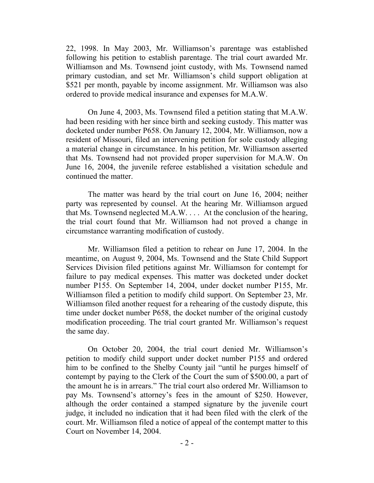22, 1998. In May 2003, Mr. Williamson's parentage was established following his petition to establish parentage. The trial court awarded Mr. Williamson and Ms. Townsend joint custody, with Ms. Townsend named primary custodian, and set Mr. Williamson's child support obligation at \$521 per month, payable by income assignment. Mr. Williamson was also ordered to provide medical insurance and expenses for M.A.W.

On June 4, 2003, Ms. Townsend filed a petition stating that M.A.W. had been residing with her since birth and seeking custody. This matter was docketed under number P658. On January 12, 2004, Mr. Williamson, now a resident of Missouri, filed an intervening petition for sole custody alleging a material change in circumstance. In his petition, Mr. Williamson asserted that Ms. Townsend had not provided proper supervision for M.A.W. On June 16, 2004, the juvenile referee established a visitation schedule and continued the matter.

The matter was heard by the trial court on June 16, 2004; neither party was represented by counsel. At the hearing Mr. Williamson argued that Ms. Townsend neglected M.A.W. . . . At the conclusion of the hearing, the trial court found that Mr. Williamson had not proved a change in circumstance warranting modification of custody.

Mr. Williamson filed a petition to rehear on June 17, 2004. In the meantime, on August 9, 2004, Ms. Townsend and the State Child Support Services Division filed petitions against Mr. Williamson for contempt for failure to pay medical expenses. This matter was docketed under docket number P155. On September 14, 2004, under docket number P155, Mr. Williamson filed a petition to modify child support. On September 23, Mr. Williamson filed another request for a rehearing of the custody dispute, this time under docket number P658, the docket number of the original custody modification proceeding. The trial court granted Mr. Williamson's request the same day.

On October 20, 2004, the trial court denied Mr. Williamson's petition to modify child support under docket number P155 and ordered him to be confined to the Shelby County jail "until he purges himself of contempt by paying to the Clerk of the Court the sum of \$500.00, a part of the amount he is in arrears." The trial court also ordered Mr. Williamson to pay Ms. Townsend's attorney's fees in the amount of \$250. However, although the order contained a stamped signature by the juvenile court judge, it included no indication that it had been filed with the clerk of the court. Mr. Williamson filed a notice of appeal of the contempt matter to this Court on November 14, 2004.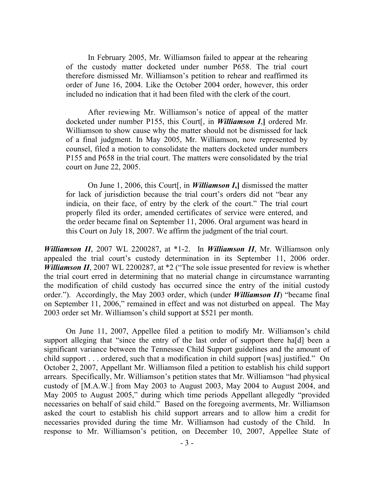In February 2005, Mr. Williamson failed to appear at the rehearing of the custody matter docketed under number P658. The trial court therefore dismissed Mr. Williamson's petition to rehear and reaffirmed its order of June 16, 2004. Like the October 2004 order, however, this order included no indication that it had been filed with the clerk of the court.

After reviewing Mr. Williamson's notice of appeal of the matter docketed under number P155, this Court[, in *Williamson I*,**]** ordered Mr. Williamson to show cause why the matter should not be dismissed for lack of a final judgment. In May 2005, Mr. Williamson, now represented by counsel, filed a motion to consolidate the matters docketed under numbers P155 and P658 in the trial court. The matters were consolidated by the trial court on June 22, 2005.

On June 1, 2006, this Court[, in *Williamson I***,]** dismissed the matter for lack of jurisdiction because the trial court's orders did not "bear any indicia, on their face, of entry by the clerk of the court." The trial court properly filed its order, amended certificates of service were entered, and the order became final on September 11, 2006. Oral argument was heard in this Court on July 18, 2007. We affirm the judgment of the trial court.

*Williamson II*, 2007 WL 2200287, at \*1-2. In *Williamson II*, Mr. Williamson only appealed the trial court's custody determination in its September 11, 2006 order. *Williamson II*, 2007 WL 2200287, at \*2 ("The sole issue presented for review is whether the trial court erred in determining that no material change in circumstance warranting the modification of child custody has occurred since the entry of the initial custody order."). Accordingly, the May 2003 order, which (under *Williamson II*) "became final on September 11, 2006," remained in effect and was not disturbed on appeal. The May 2003 order set Mr. Williamson's child support at \$521 per month.

On June 11, 2007, Appellee filed a petition to modify Mr. Williamson's child support alleging that "since the entry of the last order of support there ha[d] been a significant variance between the Tennessee Child Support guidelines and the amount of child support . . . ordered, such that a modification in child support [was] justified." On October 2, 2007, Appellant Mr. Williamson filed a petition to establish his child support arrears. Specifically, Mr. Williamson's petition states that Mr. Williamson "had physical custody of [M.A.W.] from May 2003 to August 2003, May 2004 to August 2004, and May 2005 to August 2005," during which time periods Appellant allegedly "provided necessaries on behalf of said child." Based on the foregoing averments, Mr. Williamson asked the court to establish his child support arrears and to allow him a credit for necessaries provided during the time Mr. Williamson had custody of the Child. In response to Mr. Williamson's petition, on December 10, 2007, Appellee State of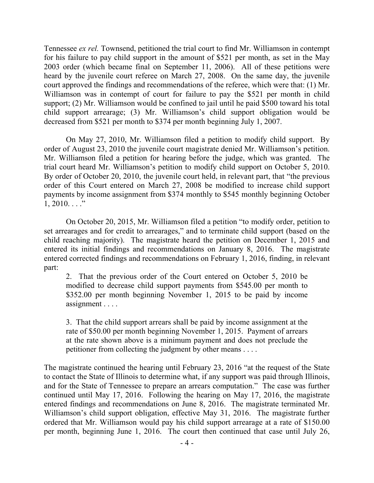Tennessee *ex rel.* Townsend, petitioned the trial court to find Mr. Williamson in contempt for his failure to pay child support in the amount of \$521 per month, as set in the May 2003 order (which became final on September 11, 2006). All of these petitions were heard by the juvenile court referee on March 27, 2008. On the same day, the juvenile court approved the findings and recommendations of the referee, which were that: (1) Mr. Williamson was in contempt of court for failure to pay the \$521 per month in child support; (2) Mr. Williamson would be confined to jail until he paid \$500 toward his total child support arrearage; (3) Mr. Williamson's child support obligation would be decreased from \$521 per month to \$374 per month beginning July 1, 2007.

On May 27, 2010, Mr. Williamson filed a petition to modify child support. By order of August 23, 2010 the juvenile court magistrate denied Mr. Williamson's petition. Mr. Williamson filed a petition for hearing before the judge, which was granted. The trial court heard Mr. Williamson's petition to modify child support on October 5, 2010. By order of October 20, 2010, the juvenile court held, in relevant part, that "the previous order of this Court entered on March 27, 2008 be modified to increase child support payments by income assignment from \$374 monthly to \$545 monthly beginning October  $1, 2010...$ "

On October 20, 2015, Mr. Williamson filed a petition "to modify order, petition to set arrearages and for credit to arrearages," and to terminate child support (based on the child reaching majority). The magistrate heard the petition on December 1, 2015 and entered its initial findings and recommendations on January 8, 2016. The magistrate entered corrected findings and recommendations on February 1, 2016, finding, in relevant part:

2. That the previous order of the Court entered on October 5, 2010 be modified to decrease child support payments from \$545.00 per month to \$352.00 per month beginning November 1, 2015 to be paid by income assignment . . . .

3. That the child support arrears shall be paid by income assignment at the rate of \$50.00 per month beginning November 1, 2015. Payment of arrears at the rate shown above is a minimum payment and does not preclude the petitioner from collecting the judgment by other means . . . .

The magistrate continued the hearing until February 23, 2016 "at the request of the State to contact the State of Illinois to determine what, if any support was paid through Illinois, and for the State of Tennessee to prepare an arrears computation." The case was further continued until May 17, 2016. Following the hearing on May 17, 2016, the magistrate entered findings and recommendations on June 8, 2016. The magistrate terminated Mr. Williamson's child support obligation, effective May 31, 2016. The magistrate further ordered that Mr. Williamson would pay his child support arrearage at a rate of \$150.00 per month, beginning June 1, 2016. The court then continued that case until July 26,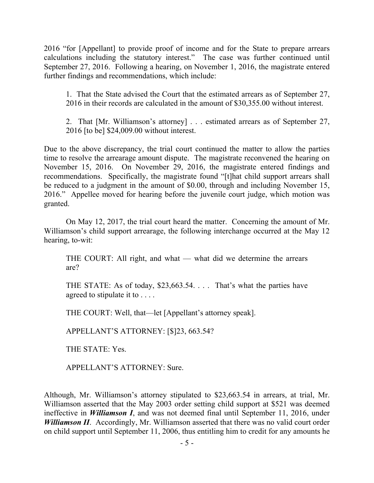2016 "for [Appellant] to provide proof of income and for the State to prepare arrears calculations including the statutory interest." The case was further continued until September 27, 2016. Following a hearing, on November 1, 2016, the magistrate entered further findings and recommendations, which include:

1. That the State advised the Court that the estimated arrears as of September 27, 2016 in their records are calculated in the amount of \$30,355.00 without interest.

2. That [Mr. Williamson's attorney] . . . estimated arrears as of September 27, 2016 [to be] \$24,009.00 without interest.

Due to the above discrepancy, the trial court continued the matter to allow the parties time to resolve the arrearage amount dispute. The magistrate reconvened the hearing on November 15, 2016. On November 29, 2016, the magistrate entered findings and recommendations. Specifically, the magistrate found "[t]hat child support arrears shall be reduced to a judgment in the amount of \$0.00, through and including November 15, 2016." Appellee moved for hearing before the juvenile court judge, which motion was granted.

On May 12, 2017, the trial court heard the matter. Concerning the amount of Mr. Williamson's child support arrearage, the following interchange occurred at the May 12 hearing, to-wit:

THE COURT: All right, and what — what did we determine the arrears are?

THE STATE: As of today, \$23,663.54. . . . That's what the parties have agreed to stipulate it to . . . .

THE COURT: Well, that—let [Appellant's attorney speak].

APPELLANT'S ATTORNEY: [\$]23, 663.54?

THE STATE: Yes.

APPELLANT'S ATTORNEY: Sure.

Although, Mr. Williamson's attorney stipulated to \$23,663.54 in arrears, at trial, Mr. Williamson asserted that the May 2003 order setting child support at \$521 was deemed ineffective in *Williamson I*, and was not deemed final until September 11, 2016, under *Williamson II.* Accordingly, Mr. Williamson asserted that there was no valid court order on child support until September 11, 2006, thus entitling him to credit for any amounts he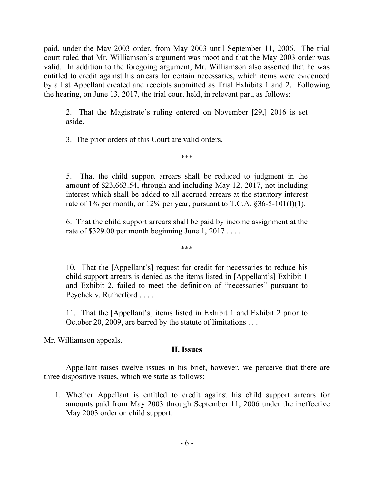paid, under the May 2003 order, from May 2003 until September 11, 2006. The trial court ruled that Mr. Williamson's argument was moot and that the May 2003 order was valid. In addition to the foregoing argument, Mr. Williamson also asserted that he was entitled to credit against his arrears for certain necessaries, which items were evidenced by a list Appellant created and receipts submitted as Trial Exhibits 1 and 2. Following the hearing, on June 13, 2017, the trial court held, in relevant part, as follows:

2. That the Magistrate's ruling entered on November [29,] 2016 is set aside.

3. The prior orders of this Court are valid orders.

5. That the child support arrears shall be reduced to judgment in the amount of \$23,663.54, through and including May 12, 2017, not including interest which shall be added to all accrued arrears at the statutory interest rate of 1% per month, or 12% per year, pursuant to T.C.A.  $\S 36-5-101(f)(1)$ .

\*\*\*

6. That the child support arrears shall be paid by income assignment at the rate of \$329.00 per month beginning June 1, 2017 . . . .

\*\*\*

10. That the [Appellant's] request for credit for necessaries to reduce his child support arrears is denied as the items listed in [Appellant's] Exhibit 1 and Exhibit 2, failed to meet the definition of "necessaries" pursuant to Peychek v. Rutherford . . . .

11. That the [Appellant's] items listed in Exhibit 1 and Exhibit 2 prior to October 20, 2009, are barred by the statute of limitations . . . .

Mr. Williamson appeals.

# **II. Issues**

Appellant raises twelve issues in his brief, however, we perceive that there are three dispositive issues, which we state as follows:

1. Whether Appellant is entitled to credit against his child support arrears for amounts paid from May 2003 through September 11, 2006 under the ineffective May 2003 order on child support.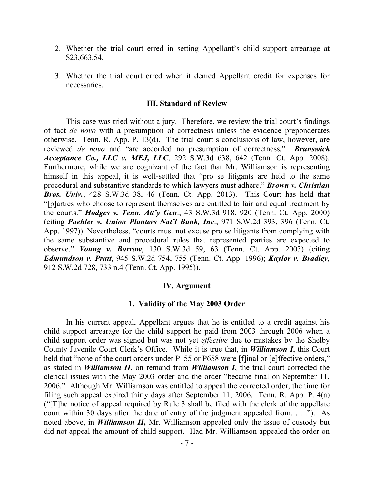- 2. Whether the trial court erred in setting Appellant's child support arrearage at \$23,663.54.
- 3. Whether the trial court erred when it denied Appellant credit for expenses for necessaries.

#### **III. Standard of Review**

This case was tried without a jury. Therefore, we review the trial court's findings of fact *de novo* with a presumption of correctness unless the evidence preponderates otherwise. Tenn. R. App. P. 13(d). The trial court's conclusions of law, however, are reviewed *de novo* and "are accorded no presumption of correctness." *Brunswick Acceptance Co., LLC v. MEJ, LLC*, 292 S.W.3d 638, 642 (Tenn. Ct. App. 2008). Furthermore, while we are cognizant of the fact that Mr. Williamson is representing himself in this appeal, it is well-settled that "pro se litigants are held to the same procedural and substantive standards to which lawyers must adhere." *Brown v. Christian Bros. Univ.*, 428 S.W.3d 38, 46 (Tenn. Ct. App. 2013). This Court has held that "[p]arties who choose to represent themselves are entitled to fair and equal treatment by the courts." *Hodges v. Tenn. Att'y Gen*., 43 S.W.3d 918, 920 (Tenn. Ct. App. 2000) (citing *Paehler v. Union Planters Nat'l Bank, Inc*., 971 S.W.2d 393, 396 (Tenn. Ct. App. 1997)). Nevertheless, "courts must not excuse pro se litigants from complying with the same substantive and procedural rules that represented parties are expected to observe." *Young v. Barrow*, 130 S.W.3d 59, 63 (Tenn. Ct. App. 2003) (citing *Edmundson v. Pratt*, 945 S.W.2d 754, 755 (Tenn. Ct. App. 1996); *Kaylor v. Bradley*, 912 S.W.2d 728, 733 n.4 (Tenn. Ct. App. 1995)).

#### **IV. Argument**

### **1. Validity of the May 2003 Order**

In his current appeal, Appellant argues that he is entitled to a credit against his child support arrearage for the child support he paid from 2003 through 2006 when a child support order was signed but was not yet *effective* due to mistakes by the Shelby County Juvenile Court Clerk's Office. While it is true that, in *Williamson I*, this Court held that "none of the court orders under P155 or P658 were [f]inal or [e]ffective orders," as stated in *Williamson II*, on remand from *Williamson I*, the trial court corrected the clerical issues with the May 2003 order and the order "became final on September 11, 2006." Although Mr. Williamson was entitled to appeal the corrected order, the time for filing such appeal expired thirty days after September 11, 2006. Tenn. R. App. P. 4(a) ("[T]he notice of appeal required by Rule 3 shall be filed with the clerk of the appellate court within 30 days after the date of entry of the judgment appealed from. . . ."). As noted above, in *Williamson II***,** Mr. Williamson appealed only the issue of custody but did not appeal the amount of child support. Had Mr. Williamson appealed the order on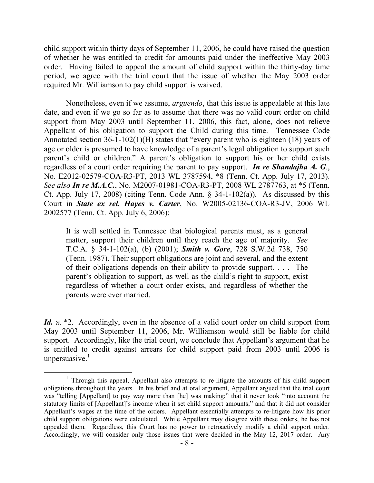child support within thirty days of September 11, 2006, he could have raised the question of whether he was entitled to credit for amounts paid under the ineffective May 2003 order. Having failed to appeal the amount of child support within the thirty-day time period, we agree with the trial court that the issue of whether the May 2003 order required Mr. Williamson to pay child support is waived.

Nonetheless, even if we assume, *arguendo*, that this issue is appealable at this late date, and even if we go so far as to assume that there was no valid court order on child support from May 2003 until September 11, 2006, this fact, alone, does not relieve Appellant of his obligation to support the Child during this time. Tennessee Code Annotated section 36-1-102(1)(H) states that "every parent who is eighteen (18) years of age or older is presumed to have knowledge of a parent's legal obligation to support such parent's child or children." A parent's obligation to support his or her child exists regardless of a court order requiring the parent to pay support. *In re Shandajha A. G*., No. E2012-02579-COA-R3-PT, 2013 WL 3787594, \*8 (Tenn. Ct. App. July 17, 2013). *See also In re M.A.C.*, No. M2007-01981-COA-R3-PT, 2008 WL 2787763, at \*5 (Tenn. Ct. App. July 17, 2008) (citing Tenn. Code Ann. § 34-1-102(a)).As discussed by this Court in *State ex rel. Hayes v. Carter*, No. W2005-02136-COA-R3-JV, 2006 WL 2002577 (Tenn. Ct. App. July 6, 2006):

It is well settled in Tennessee that biological parents must, as a general matter, support their children until they reach the age of majority. *See* T.C.A. § 34-1-102(a), (b) (2001); *Smith v. Gore*, 728 S.W.2d 738, 750 (Tenn. 1987). Their support obligations are joint and several, and the extent of their obligations depends on their ability to provide support. . . . The parent's obligation to support, as well as the child's right to support, exist regardless of whether a court order exists, and regardless of whether the parents were ever married.

*Id.* at <sup>\*2</sup>. Accordingly, even in the absence of a valid court order on child support from May 2003 until September 11, 2006, Mr. Williamson would still be liable for child support. Accordingly, like the trial court, we conclude that Appellant's argument that he is entitled to credit against arrears for child support paid from 2003 until 2006 is unpersuasive. $1$ 

 $\overline{a}$ 

<sup>&</sup>lt;sup>1</sup> Through this appeal, Appellant also attempts to re-litigate the amounts of his child support obligations throughout the years. In his brief and at oral argument, Appellant argued that the trial court was "telling [Appellant] to pay way more than [he] was making;" that it never took "into account the statutory limits of [Appellant]'s income when it set child support amounts;" and that it did not consider Appellant's wages at the time of the orders. Appellant essentially attempts to re-litigate how his prior child support obligations were calculated. While Appellant may disagree with these orders, he has not appealed them. Regardless, this Court has no power to retroactively modify a child support order. Accordingly, we will consider only those issues that were decided in the May 12, 2017 order. Any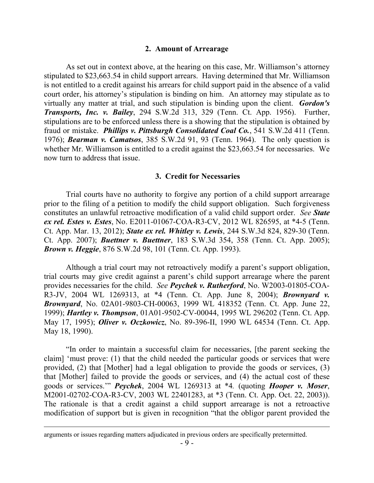### **2. Amount of Arrearage**

As set out in context above, at the hearing on this case, Mr. Williamson's attorney stipulated to \$23,663.54 in child support arrears. Having determined that Mr. Williamson is not entitled to a credit against his arrears for child support paid in the absence of a valid court order, his attorney's stipulation is binding on him. An attorney may stipulate as to virtually any matter at trial, and such stipulation is binding upon the client. *Gordon's Transports, Inc. v. Bailey*, 294 S.W.2d 313, 329 (Tenn. Ct. App. 1956). Further, stipulations are to be enforced unless there is a showing that the stipulation is obtained by fraud or mistake. *Phillips v. Pittsburgh Consolidated Coal Co.*, 541 S.W.2d 411 (Tenn. 1976); *Bearman v. Camatsos*, 385 S.W.2d 91, 93 (Tenn. 1964). The only question is whether Mr. Williamson is entitled to a credit against the \$23,663.54 for necessaries. We now turn to address that issue.

### **3. Credit for Necessaries**

Trial courts have no authority to forgive any portion of a child support arrearage prior to the filing of a petition to modify the child support obligation. Such forgiveness constitutes an unlawful retroactive modification of a valid child support order. *See State ex rel. Estes v. Estes*, No. E2011-01067-COA-R3-CV, 2012 WL 826595, at \*4-5 (Tenn. Ct. App. Mar. 13, 2012); *State ex rel. Whitley v. Lewis*, 244 S.W.3d 824, 829-30 (Tenn. Ct. App. 2007); *Buettner v. Buettner*, 183 S.W.3d 354, 358 (Tenn. Ct. App. 2005); *Brown v. Heggie*, 876 S.W.2d 98, 101 (Tenn. Ct. App. 1993).

Although a trial court may not retroactively modify a parent's support obligation, trial courts may give credit against a parent's child support arrearage where the parent provides necessaries for the child. *See Peychek v. Rutherford*, No. W2003-01805-COA-R3-JV, 2004 WL 1269313, at \*4 (Tenn. Ct. App. June 8, 2004); *Brownyard v. Brownyard*, No. 02A01-9803-CH-00063, 1999 WL 418352 (Tenn. Ct. App. June 22, 1999); *Hartley v. Thompson*, 01A01-9502-CV-00044, 1995 WL 296202 (Tenn. Ct. App. May 17, 1995); *Oliver v. Oczkowicz*, No. 89-396-II, 1990 WL 64534 (Tenn. Ct. App. May 18, 1990).

"In order to maintain a successful claim for necessaries, [the parent seeking the claim] 'must prove: (1) that the child needed the particular goods or services that were provided, (2) that [Mother] had a legal obligation to provide the goods or services, (3) that [Mother] failed to provide the goods or services, and (4) the actual cost of these goods or services.'" *Peychek*, 2004 WL 1269313 at \*4*.* (quoting *Hooper v. Moser*, M2001-02702-COA-R3-CV, 2003 WL 22401283, at \*3 (Tenn. Ct. App. Oct. 22, 2003)). The rationale is that a credit against a child support arrearage is not a retroactive modification of support but is given in recognition "that the obligor parent provided the

 $\overline{a}$ 

arguments or issues regarding matters adjudicated in previous orders are specifically pretermitted.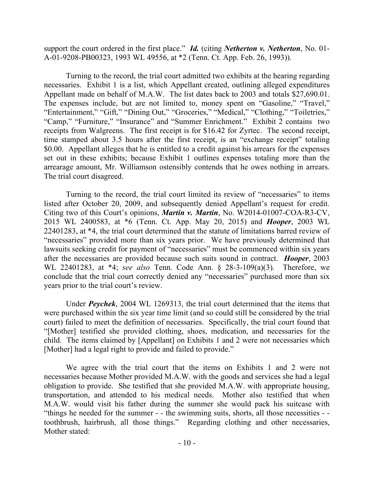support the court ordered in the first place." *Id.* (citing *Netherton v. Netherton*, No. 01- A-01-9208-PB00323, 1993 WL 49556, at \*2 (Tenn. Ct. App. Feb. 26, 1993)).

Turning to the record, the trial court admitted two exhibits at the hearing regarding necessaries. Exhibit 1 is a list, which Appellant created, outlining alleged expenditures Appellant made on behalf of M.A.W. The list dates back to 2003 and totals \$27,690.01. The expenses include, but are not limited to, money spent on "Gasoline," "Travel," "Entertainment," "Gift," "Dining Out," "Groceries," "Medical," "Clothing," "Toiletries," "Camp," "Furniture," "Insurance" and "Summer Enrichment." Exhibit 2 contains two receipts from Walgreens. The first receipt is for \$16.42 for Zyrtec. The second receipt, time stamped about 3.5 hours after the first receipt, is an "exchange receipt" totaling \$0.00. Appellant alleges that he is entitled to a credit against his arrears for the expenses set out in these exhibits; because Exhibit 1 outlines expenses totaling more than the arrearage amount, Mr. Williamson ostensibly contends that he owes nothing in arrears. The trial court disagreed.

Turning to the record, the trial court limited its review of "necessaries" to items listed after October 20, 2009, and subsequently denied Appellant's request for credit. Citing two of this Court's opinions, *Martin v. Martin*, No. W2014-01007-COA-R3-CV, 2015 WL 2400583, at \*6 (Tenn. Ct. App. May 20, 2015) and *Hooper*, 2003 WL 22401283, at \*4, the trial court determined that the statute of limitations barred review of "necessaries" provided more than six years prior. We have previously determined that lawsuits seeking credit for payment of "necessaries" must be commenced within six years after the necessaries are provided because such suits sound in contract. *Hooper*, 2003 WL 22401283, at \*4; *see also* Tenn. Code Ann. § 28-3-109(a)(3). Therefore, we conclude that the trial court correctly denied any "necessaries" purchased more than six years prior to the trial court's review.

Under *Peychek*, 2004 WL 1269313, the trial court determined that the items that were purchased within the six year time limit (and so could still be considered by the trial court) failed to meet the definition of necessaries. Specifically, the trial court found that "[Mother] testified she provided clothing, shoes, medication, and necessaries for the child. The items claimed by [Appellant] on Exhibits 1 and 2 were not necessaries which [Mother] had a legal right to provide and failed to provide."

We agree with the trial court that the items on Exhibits 1 and 2 were not necessaries because Mother provided M.A.W. with the goods and services she had a legal obligation to provide. She testified that she provided M.A.W. with appropriate housing, transportation, and attended to his medical needs. Mother also testified that when M.A.W. would visit his father during the summer she would pack his suitcase with "things he needed for the summer - - the swimming suits, shorts, all those necessities - toothbrush, hairbrush, all those things." Regarding clothing and other necessaries, Mother stated: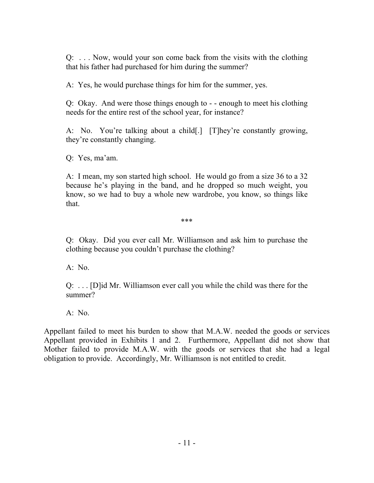Q: . . . Now, would your son come back from the visits with the clothing that his father had purchased for him during the summer?

A: Yes, he would purchase things for him for the summer, yes.

Q: Okay. And were those things enough to - - enough to meet his clothing needs for the entire rest of the school year, for instance?

A: No. You're talking about a child[.] [T]hey're constantly growing, they're constantly changing.

Q: Yes, ma'am.

A: I mean, my son started high school. He would go from a size 36 to a 32 because he's playing in the band, and he dropped so much weight, you know, so we had to buy a whole new wardrobe, you know, so things like that.

\*\*\*

Q: Okay. Did you ever call Mr. Williamson and ask him to purchase the clothing because you couldn't purchase the clothing?

A: No.

Q: . . . [D]id Mr. Williamson ever call you while the child was there for the summer?

A: No.

Appellant failed to meet his burden to show that M.A.W. needed the goods or services Appellant provided in Exhibits 1 and 2. Furthermore, Appellant did not show that Mother failed to provide M.A.W. with the goods or services that she had a legal obligation to provide. Accordingly, Mr. Williamson is not entitled to credit.